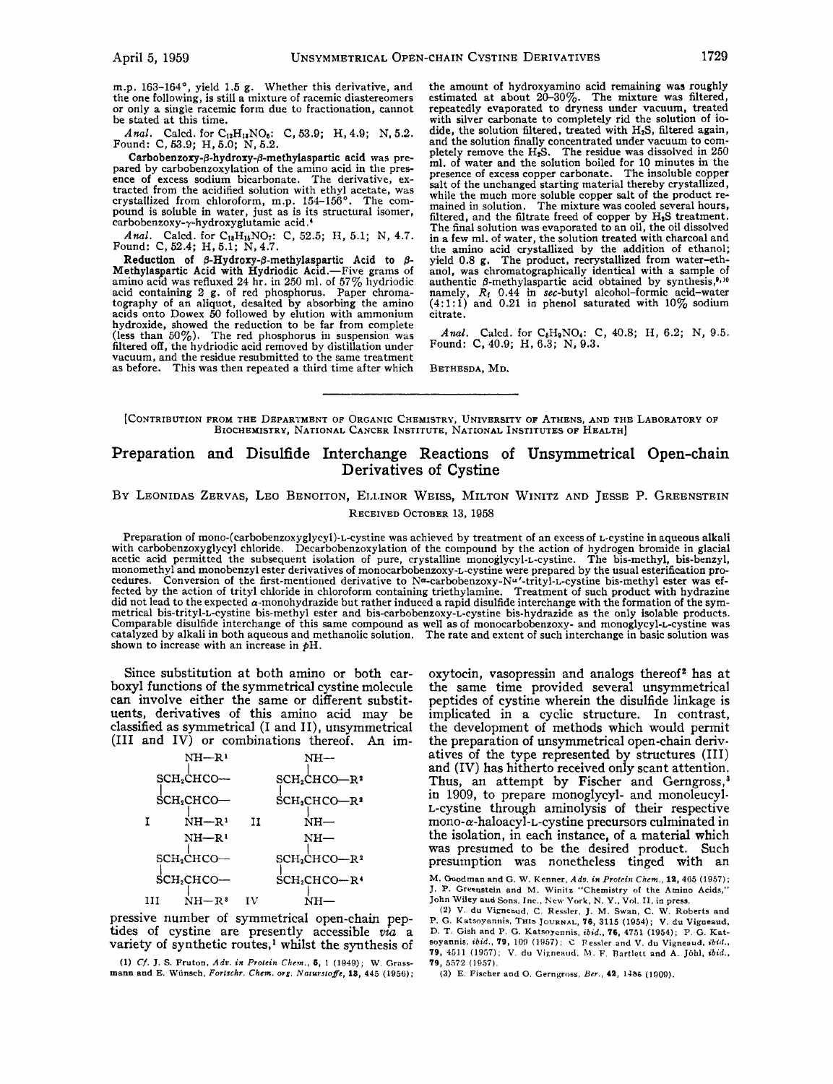m.p. **163-164',** yield **1.5** g. Whether this derivative, and or only a single racemic form due to fractionation, cannot be stated at this time.

*Anal.* Calcd. for C<sub>12</sub>H<sub>13</sub>NO<sub>6</sub>: C, 53.9; H, 4.9; N, 5.2. <br>Found: C, 53.9; H, 5.0; N, 5.2.

Carbobenzoxy-*ß*-hydroxy-*ß*-methylaspartic acid was pre-<br>pared by carbobenzoxylation of the amino acid in the presence of excess sodium bicarbonate. The derivative, ex-<br>tracted from the acidified solution with ethyl acetate, was<br>crystallized from chloroform, m.p. 154–156°. The com-<br>pound is soluble in water, just as is its structural carbobenzoxy- $\gamma$ -hydroxyglutamic acid.<sup>4</sup>

*Anal.* Calcd. for C<sub>13</sub>H<sub>13</sub>NO<sub>7</sub>: C, 52.5; H, 5.1; N, 4.7. <br>Found: C, 52.4; H, 5.1; N, 4.7.

Reduction **of 8-Hydroxy-p-methylaspartic** Acid to *8-*  Methylaspartic Acid with Hydriodic Acid.-Five grams of amino acid was refluxed **24** hr. in **250** ml. of **57%** hydriodic acid containing 2 g. of red phosphorus. Paper chromatography of an aliquot, desalted by absorbing the amino acids onto Dowex *50* followed by elution with ammonium hydroxide, showed the reduction to be far from complete (less than **50%).** The red phosphorus in suspension was filtered off, the hydriodic acid removed by distillation under vacuum, and the residue resubmitted to the same treatment as before. This was then repeated a third time after which the amount of hydroxyamino acid remaining was roughly estimated at about **20-30%.** The mixture was filtered, repeatedly evaporated to dryness under vacuum, treated with silver carbonate to completely rid the solution of iodide, the solution filtered, treated with HzS, filtered again, and the solution finally concentrated under vacuum to com-<br>pletely remove the H<sub>a</sub>S. The residue was dissolved in 250 ml. of water and the solution boiled for **10** minutes in the presence of excess copper carbonate. The insoluble copper salt of the unchanged starting material thereby crystallized, while the much more soluble copper salt of the product re- mained in solution. The mixture was cooled several hours, filtered, and the filtrate freed of copper by H<sub>2</sub>S treatment. The final solution was evaporated to an oil, the oil dissolved in a few ml. of water, the solution treated with charcoal and the amino acid crystallized by the addition of ethanol; yield 0.8 g. The product, recrystallized from water-ethanol, was chromatographically identical with a sample of authentic  $\beta$ -methylaspartic acid obtained by synthesis,<sup>9,10</sup> namely, *Rf* **0.44** in sec-butyl alcohol-formic acid-water **(4:l:l)** and **0.21** in phenol saturated with **10%** sodium citrate.

*Anal.* Calcd. for C<sub>6</sub>H<sub>9</sub>NO<sub>4</sub>: C, 40.8; H, 6.2; N, 9.5. <br>Found: C, 40.9; H, 6.3; N, 9.3.

BETHESDA, MD.

[CONTRIBUTION FROM THE DEPARTMENT OF ORGANIC CHEMISTRY, UNIVERSITY OF ATHENS, AND THE LABORATORY OF BIOCHEMISTRY, NATIONAL CANCER INSTITUTE, NATIONAL INSTITUTES **OF** HEALTH]

### **Preparation and Disulfide Interchange Reactions of Unsymmetrical Open-chain Derivatives of Cystine**

## **BY LEONIDAS ZERVAS, LEO BENOITON, EI,IJNOR WEISS,** MILTON **WINITZ AND JESSE P. GREENSTEIN**  RECEIVED OCTOBER **13, 1958**

Preparation of **mono-(carbobenzoxyglycy1)-L-cystine** was achieved by treatment of an excess of L-cystine in aqueous alkali with carbobenzoxyglycyl chloride. Decarbobenzoxylation of the compound by the action of hydrogen bromide in glacial acetic acid permitted the subsequent isolation of pure, crystalline monoglycyl-L-cystine. The bis-methyl, bis-benzyl, nionomethyl and monobenzyl ester derivatives of monocarbobenzoxy-L-cystine were prepared by the usual esterification procedures. Conversion of the first-mentioned derivative to Na-carbobenzoxy-Nu '-trityl-L-cystine bis-methyl ester was effected by the action of trityl chloride in chloroform containing triethylamine. Treatment of such product with hydrazine<br>did not lead to the expected α-monohydrazide but rather induced a rapid disulfide interchange with t catalyzed by alkali in both aqueous and methanolic solution. The rate and extent of such interchange in basic solution was<br>shown to increase with an increase in pH.

Since substitution at both amino or both carboxyl functions of the symmetrical cystine molecule can involve either the same or different substit**uents,** derivatives of this amino acid may be classified as symmetrical (I and II), unsymmetrical **(I11** and IV) or combinations thereof. An im-

|   | NH—R'                  |    | NH—                                  |
|---|------------------------|----|--------------------------------------|
|   | SCH2CHCO-              |    | $SCH2CHCO-R2$                        |
|   | SCH <sub>2</sub> CHCO- |    | $SCH2CHCO-R2$                        |
| T | $NH - R1$              | н  | $NH-$                                |
|   | $NH-R1$                |    | $_{\rm NH-}$                         |
|   | SCH <sub>2</sub> CHCO- |    | SCH <sub>2</sub> CHCO-R <sup>2</sup> |
|   | SCH2CHCO-              |    | $SCH2CHCO-R4$                        |
| ш | $NH-R^3$               | īV | NH-                                  |

pressive number of symmetrical open-chain peptides of cystine are presently accessible *via* a variety of synthetic routes,<sup>1</sup> whilst the synthesis of

**(1)** *Cf.* J. *S.* **Pruton,** *Adv. in Proleitr Cbetn., 8,* 1 (1949); **W. Grassmann and E. Wunsch,** *Forlschr. Chcm.* **org.** *Notursloffe,* **IS,** 445 (1956); oxytocin, vasopressin and analogs thereof<sup>2</sup> has at the same time provided several unsymmetrical peptides of cystine wherein the disulfide linkage is implicated in a cyclic structure. In contrast, the development of methods which would permit the preparation of unsymmetrical open-chain derivatives of the type represented by structures (111) and (IV) has hitherto received only scant attention. Thus, an attempt by Fischer and Gerngross,<sup>3</sup> in 1909, to prepare monoglycyl- and monoleucyl-L-cystine through aminolysis of their respective mono-a-haloacyl-L-cystine precursors culminated in the isolation, in each instance, of a material which was presumed to be the desired product. Such presumption was nonetheless tinged with an

**M. Goodman and** *G.* **W. Kenner,** *Adu. in Protrirr Chem..* **12,** 4G5 (1957); J. **p. Grecnstein and M. Winitz "Chemistry of the Amino Acids,"**  John **Wiley aud Sons, Inc., New York,** N. *Y.,* Vol. **11, in press.** 

**(2) V. du Vigneaud,** *C.* **Ressler.** *J.* **M. Swan, C. W. Roberts and v. du Vigneaud, P.** *G.* **Katsoyanrlis, THIS JOURNAL, 76,** 3115 (1954); **D. T. Gish and P.** *G.* **Katswannis,** *ibid.,* **76,** 4751 **(1954);** P. *G.* **Katsoyannis.** *ibid.,* **79,** 100 (1957); *C* **Ressler and V. du Vipneaud,** *ibid.s*  **79, 4511** (1967); V. **du Vipneaud.** h. F. **nartlett and A. Johl,** *ibid.,*  **79,** 5572 (1957).

**(3) E. Fischer and 0. Gerngross.** *Ber.,* **42, 1486 (1909).**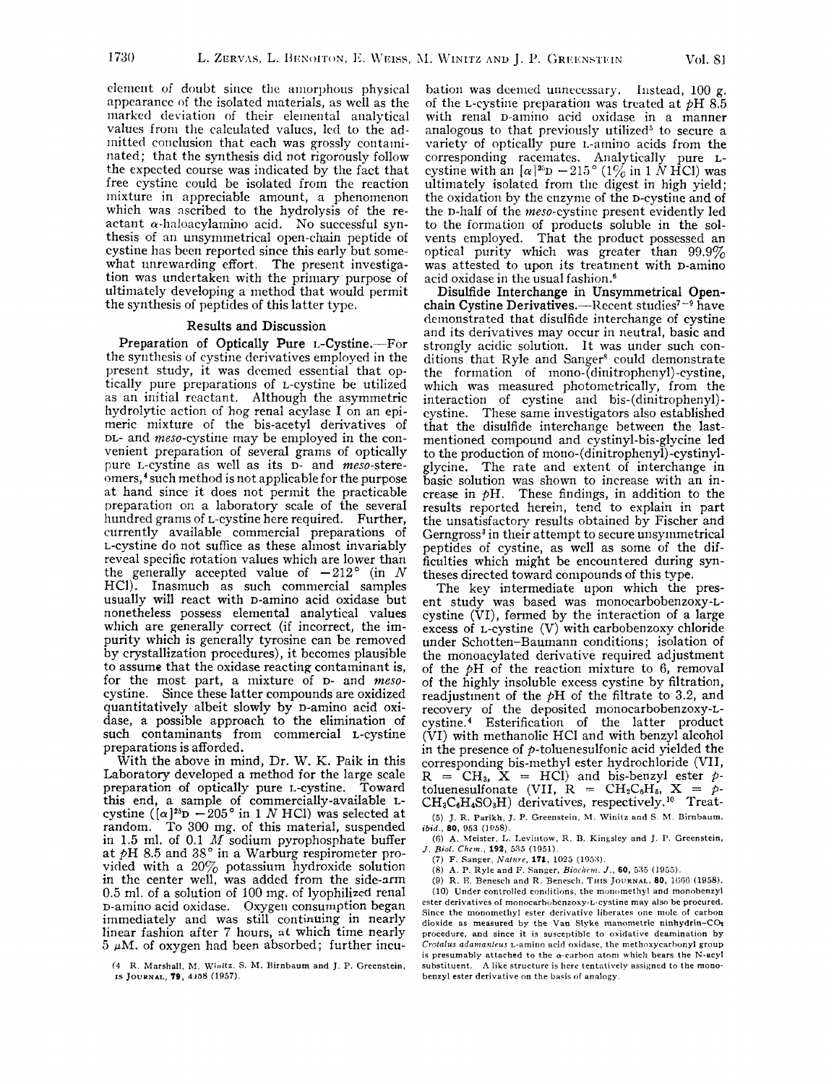element of doubt since the amorphous physical appenrancc of the isolated materials, as well as the marked deviation of their elemental analytical valucs from the calculated valucs, led to the admitted conclusion that each was grossly contaminated; that the synthesis did not rigorously follow the expccted course was indicated by the fact that free cystine could be isolated from the reaction mixture in appreciable amount, a phenomenon which was ascribed to the hydrolysis of the reactant  $\alpha$ -haloacylamino acid. No successful synthesis of an unsymmetrical open-chain peptide of cystine has been reported since this early but somewhat unrewarding effort. The present investigation was undertaken with the primary purpose of ultiniately developing a method that would permit the synthesis of peptides of this latter type.

#### Results and Discussion

Preparation of Optically Pure L-Cystine.--For the synthesis of cystine derivatives employed in the present study, it was deemed essential that optically pure preparations of L-cystine be utilized as an initial reactant. Although the asymmetric hydrolytic action of hog renal acylase I on an epimeric mixture of the bis-acetyl derivatives of DL- and meso-cystine may be employed in the convenient preparation of several grams of optically pure *L*-cystine as well as its *D*- and *meso*-stereomers,<sup>4</sup> such method is not applicable for the purpose at hand since it does not permit the practicable preparation on a laboratory scale of the several hundred grams of L-cystine here required. Further, currently available commercial preparations of L-cystine do not suffice as these almost invariably reveal specific rotation values which are lower than the generally accepted value of  $-212^{\circ}$  (in *N* HCl). Inasmuch as such commercial samples usually will react with D-amino acid oxidase but nonetheless possess elemental analytical values which are generally correct (if incorrect, the impurity which is generally tyrosine can be removed by crystallization procedures), it becomes plausible to assume that the oxidase reacting contaminant is, for the most part, a mixture of D- and mesocystine. Since these latter compounds are oxidized quantitatively albeit slowly by D-amino acid oxidase, a possible approach to the elimination of such contaminants from commercial L-cystine preparations is afforded.

With the above in mind, Dr. W. K. Paik in this Laboratory developed a method for the large scale preparation of optically pure L-cystine. Toward this end, a sample of commercially-available Lcystine  $((\alpha)^{25}D - 205^{\circ}$  in 1 *N* HCl) was selected at random. To 300 mg. of this material, suspended in 1.5 ml. of 0.1 *M* sodium pyrophosphate buffer at PH 8.5 and **38"** in a Warburg respirometer provided with a 20 $\%$  potassium hydroxide solution in the center well, was added from the side-arm 0.5 ml. of a solution of 100 **mg.** of lyophilized renal D-amino acid oxidase. Oxygen consumption began immediately and was still continuing in nearly linear fashion after 7 hours, **at** which time nearly  $5 \mu M$ . of oxygen had been absorbed; further incu-

**(4 R Marshall,** M **Winitz** *S* M. **Birnhaum and** J **P Greenstein, IS JOURNAL, 79, 4198** (1957)

bation was deemed unnecessary. Instead,  $100 g$ . of the L-cystine preparation was treated at pH *8.5*  with renal D-amino acid oxidase in a manner analogous to that previously utilized<sup>5</sup> to secure a variety of optically pure L-amino acids from the corresponding racemates. Analytically pure Lcystine with an  $\left[\alpha\right]^{25}D - 215^{\circ}$  (1% in 1 NHCl) was ultimately isolated from the digest in high yield; the oxidation by the enzyme of the D-cystine and of the p-half of the meso-cystine present evidently led to the formation of products soluble in the solvents employed. That the product possessed an optical purity which was greater than 99.9% was attested to upon its treatment with D-amino acid oxidase in the usual fashion.6

Disulfide Interchange in Unsymmetrical Openchain Cystine Derivatives.—Recent studies<sup> $7-9$ </sup> have demonstrated that disulfide interchange of cystine and its derivatives may occur in neutral, basic and strongly acidic solution. It was under such conditions that Ryle and Sanger<sup>8</sup> could demonstrate the forination of **mono-(dinitropheny1)-cystine,**  which was measured photometrically, from the interaction of cystine and bis-(dinitropheny1) cystine. These same investigators also established that the disulfide interchange between the lastmentioned compound and cystinyl-bis-glycine led to the production of **mono-(dinitropheny1)-cystinyl**glycine. The rate and extent of interchange in basic solution was shown to increase with an increase in  $\phi$ H. These findings, in addition to the results reported herein, tend to explain in part the unsatisfactory results obtained by Fischer and Gerngross<sup>3</sup> in their attempt to secure unsymmetrical peptides of cystine, as well as some of the difficulties which might be encountered during syntheses directed toward conipounds of this type.

The key intermediate upon which the present study was based was monocarbobenzoxy-Lcystine (VI), formed by the interaction of a large excess of L-cystine (V) with carbobenzoxy chloride under Schotten-Baumann conditions; isolation of the monoacylated derivative required adjustment of the  $pH$  of the reaction mixture to 6, removal of the highly insoluble excess cystine by filtration, readjustment of the pH of the filtrate to **3.2,** and recovery of the deposited monocarbobenzoxy-Lcystine.4 Esterification of the latter product (VI) with methanolic HC1 and with benzyl alcohol in the presence of  $p$ -toluenesulfonic acid yielded the corresponding bis-methyl ester hydrochloride (VII, R = CH<sub>3</sub>, X = HCl) and bis-benzyl ester *p*toluenesulfonate (VII,  $R = CH_2C_6H_6$ ,  $X = p$ - $CH_3C_6H_4SO_3H$ ) derivatives, respectively.<sup>10</sup> Treat-(5) J. **R. Parikh,** J. **P. Greenstein,** M. **Winitz and** *S.* M. **Dirnhaum,** 

*ibid., 80,* **953 (1958).** 

(6) **A. hleister,** I,. **Levilltow, R. B. Kingsley and** J. **1'. Greenstein,**  *J. Aid. Chmn.,* **192,** *535* **(1951).** 

(7) F. Sanger, *Nature*, **171**, 1025 (1953).

(8) **A.** P. **Ryle and I'. Sanger,** *Biochrnt. J., 60, 535* **(1955).** 

(9) R. E. **Benescli and R. Benescli. THIS JOURNAL, 80,** 1006 (1958). (10) Under controlled conditions, the monomethyl and monobenzyl **ester derivatives of monocarbohenzoxy-L-cystine may also he procured. Since the monomethyl ester derivative liberates one** mole **of carbon**  dioxide as measured by the Van Slyke manometric ninhydrin-CO<sub>2</sub> **procedure, and since it is susceptible to oxidative deamination by**  *Crolnlus adanra?tlrus* **L-amino acid oxidase, the methoxycarhonyl group**  is presumably attached to the  $\alpha$ -carbon atom which bears the N-acyl **substituent. A like structure is here tentatively assigned to the** mono**benzyl ester derivative on the basis of analogy.**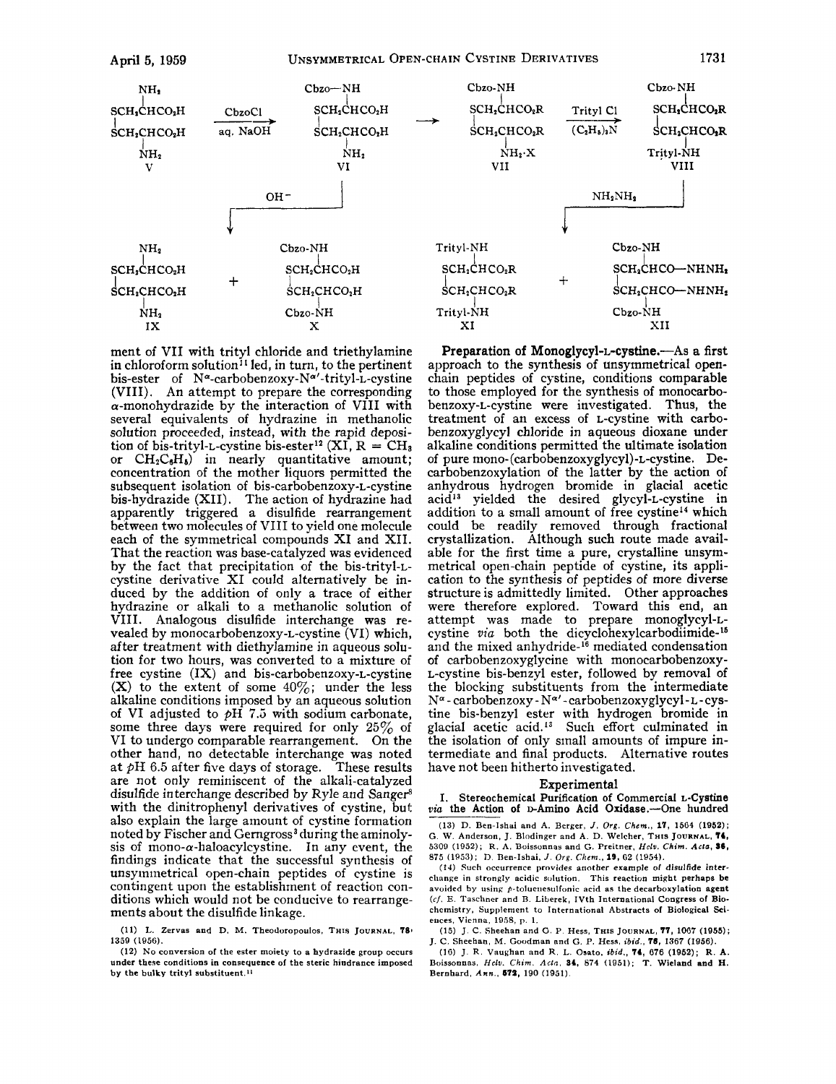

ment of VII with trityl chloride and triethylamine in chloroform solution<sup>11</sup> led, in turn, to the pertinent bis-ester of **N"-carbobenzoxy-N"'-trityl-L-cystine**  (VIII). An attempt to prepare the corresponding  $\alpha$ -monohydrazide by the interaction of VIII with several equivalents of hydrazine in methanolic solution proceeded, instead, with the rapid deposition of bis-trityl-L-cystine bis-ester<sup>12</sup> (XI,  $R = CH_3$ ) or  $CH_2C_6H_6$  in nearly quantitative amount; concentration of the mother liquors permitted the subsequent isolation of **bis-carbobenzoxy-L-cystine**  bis-hydrazide (XII). The action of hydrazine had apparently triggered a disulfide rearrangement between two molecules of VI11 to yield one molecule each of the symmetrical compounds XI and XII. That the reaction was base-catalyzed was evidenced by the fact that precipitation of the bis-trityl-Lcystine derivative XI could alternatively be induced by the addition of only a trace of either hydrazine or alkali to a methanolic solution of VIII. Analogous disulfide interchange was revealed by monocarbobenzoxy-L-cystine (VI) which, after treatment with diethylamine in aqueous solution for two hours, was converted to a mixture of free cystine (IX) and **bis-carbobenzoxy-L-cystine**  (X) to the extent of some  $40\%$ ; under the less alkaline conditions imposed by an aqueous solution of VI adjusted to  $pH$  7.5 with sodium carbonate, some three days were required for only **25%** of VI to undergo comparable rearrangement. On the other hand, no detectable interchange was noted at pH **6.5** after five days of storage. These results are not only reminiscent of the alkali-catalyzed disulfide interchange described by Ryle and Sanger<sup>8</sup> with the dinitrophenyl derivatives of cystine, but also explain the large amount of cystine formation noted by Fischer and Gerngross<sup>3</sup> during the aminolysis of mono- $\alpha$ -haloacylcystine. In any event, the findings indicate that the successful synthesis of unsymmetrical open-chain peptides of cystine is contingent upon the establishment of reaction conditions which would not be conducive to rearrangements about the disulfide linkage.

(11) **L. Zervas and D.** M. **Theodoropoulos. THIS JOURNAL. 781 1359 (1956).** 

**(12)** No **conversion of the ester moiety to a hydrazide group occurs**  under these conditions in consequence of the steric hindrance imposed **by the bulky trityl substituent."** 

**Preparation of Monoglycyl-L-cystine.—As a first** approach to the synthesis of unsymmetrical openchain peptides of cystine, conditions comparable to those employed for the synthesis of monocarbobenzoxy-L-cystine were investigated. Thus, the treatment of an excess of L-cystine with carbobenzoxyglycyl chloride in aqueous dioxane under alkaline conditions permitted the ultimate isolation of pure **mono-(carbobenzoxyglycy1)-L-cystine.** Decarbobenzoxylation of the latter by the action of anhydrous hydrogen bromide in glacial acetic  $acid<sup>13</sup>$  yielded the desired glycyl-L-cystine in addition to a small amount of free cystine<sup>14</sup> which could be readily removed through fractional crystallization. Although such route made available for the first time a pure, crystalline unsymmetrical open-chain peptide of cystine, its application to the synthesis of peptides of more diverse structure is admittedly limited. Other approaches were therefore explored. Toward this end, an attempt was made to prepare monoglycyl-Lcystine *via* both the **dicyclohexy1carbodiimide-l6**  and the mixed anhydride-16 mediated condensation of carbobenzoxyglycine with monocarbobenzoxy-L-cystine bis-benzyl ester, followed by removal of the blocking substituents from the intermediate **NQ** - carbobenzoxy - *Na'* - carbobenzoxyglycyl- L - cystine bis-benzyl ester with hydrogen bromide in glacial acetic acid.<sup>13</sup> Such effort culminated in the isolation of only small amounts of impure intermediate and final products. Alternative routes have not been hitherto investigated.

#### Experimental

**I.** Stereochemical Purification **of** Commercial **L-Cystine**  *via* the Action of **D-Amino Acid Oxidase.**-One hundred

(13) D. **Ben-Ishai and A. Bcrger,** *J.* **Org.** *Chcm.,* **17, 1564 (1952); G. W. Anderson, J. Blodinger and A.** D. **Welcher, THIS JOURNAL, T4, 5309 (1952); R. A. Boissonnas and G. Preitner.** *Hclu. Chim.* **Ada. 86, 875 (1953);** D. **Den-Ishai.** *J.* **Org. Chcm., 19, G2 (1954).** 

(14) **Such occurrence provides another example** *ol* **disulfide interchange in strongly acidic solution. This reaction might perhaps be avoided by using p-toluenesulfonic acid as the decarboxylation agent (c/, E. Taschner and I3. Liberek, IVth International Congress of Biochemistry, Supplement to International Abstracts of Biological Sei-**

**euces, Vienna, 1058, p. 1. (15) J. C. Sheehan and 0. P. Hess, THIS JOURNAL.** *77,* **1067 (1955); J. C. Sheehan,** M. **Goodman and G. P. Hess,** *ibid.,* **78,** 1367 **(1956).** 

**(16) J. R. Vaughan and R. L. Osato.** *ibid.,* **74, 676 (1952); R. A. Boissonnas,** *Hclu. Chim. Ada.* **34, 874 (1951); T. Wieland and H. Bernhard, Ann., 675, 190 (1961).**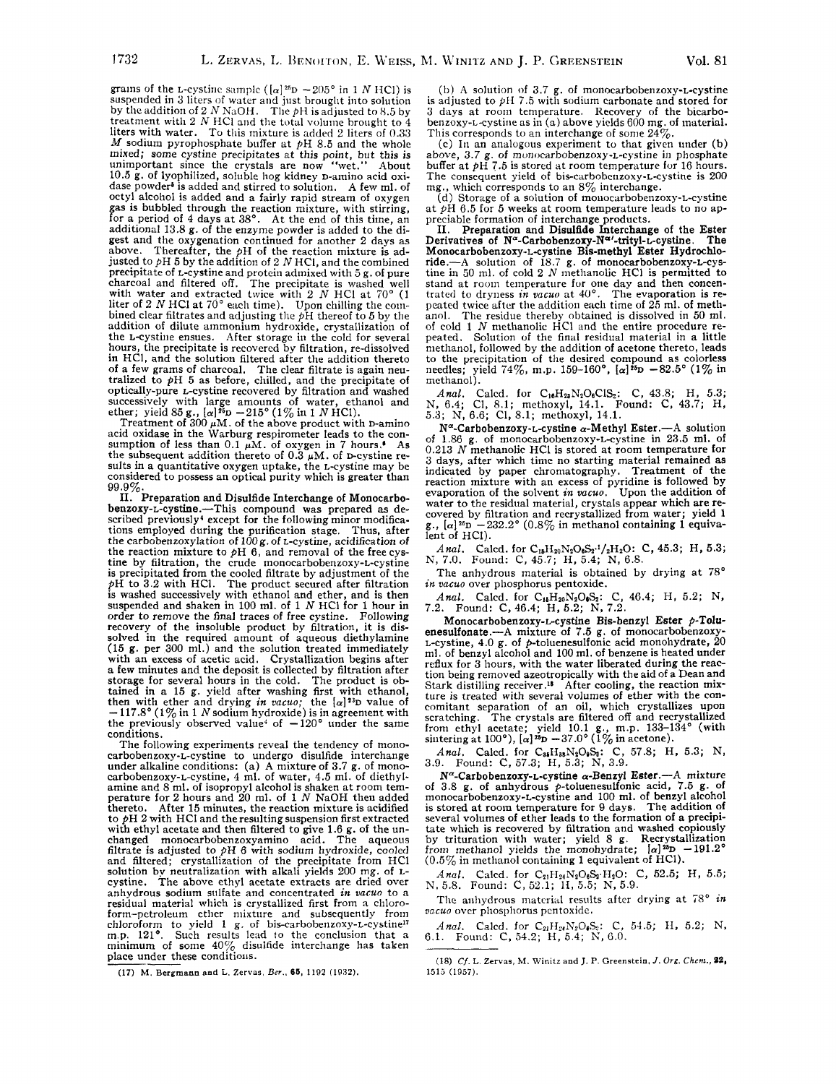grains of the L-cystine sample ( $\alpha$ <sup>25</sup>p  $-205^\circ$  in 1 *N* HCl) is suspended in 3 liters of water and just brought into solution by the addition of **2** *N* N,iOH. The pH is adjusted to **8.5** by treatment with **2** *N* HC1 and the total volume brought to **4**  liters with water. To this mixture is added *2* liters of *0.33 M* sodium pyrophosphate buffer at pH **8.5** and the whole tnixed; some cystine precipitates at this point, but this is unimportant since the crystals are now "wet." About **10.5** g. of lyophilized, soluble hog kidney D-amino acid oxidase powder<sup>5</sup> is added and stirred to solution. A few ml. of octyl alcohol is added and **a** fairly rapid stream of oxygen gas is bubbled through the reaction mixture, with stirring, for a period of **4** days at **38'.** At the end of this time, an additional **13.8** g. of the enzyme powder is added to the digest and the oxygenation continued for another **2** days as above. Thereafter, the pH of the reaction mixture is ad-justed to PH **5** by the addition of **2** *N* HCI, and the combined precipitate of L-cystine and protein admixed with **5** g. of pure charcoal and filtered off. The precipitate is washed well with water and extracted twice with 2 *N* HCl at 70° (1 liter of 2 *N* HCl at 70° each time). Upon chilling the con-<br>bined clear filtrates and adjusting the pH thereof to 5 by the addition of dilute ammonium hydroxide, crystallization of the *L*-cystine ensues. After storage in the cold for several hours, the precipitate is recovered by filtration, re-dissolved in HCI, and the solution filtered after the addition thereto of a few grams of charcoal. The clear filtrate is again neu- tralized to PH **5** as before, chilled, and the precipitate **of**  optically-pure L-cystine recovered by filtration and washed successively with large amounts of water, ethanol and

ether; yield  $85 g$ .,  $[\alpha]^{\bar{x}_{D}} - 215^{\circ} (1\% \text{ in } 1 \text{ N HCl})$ . Treatment of  $300 \mu \text{M}$ , of the above product with D-amino acid oxidase in the Warburg respirometer leads to the con-<br>sumption of less than  $0.1 \mu M$ . of oxygen in 7 hours.<sup>1</sup> As the subsequent addition thereto of  $0.3 \mu M$ . of p-cystine results in a quantitative oxygen uptake, the L-cystine may be considered to possess an optical purity which is greater than **99.9%.** 

**11.** Preparation and Disulfide Interchange of Monocarbobenzoxy-L-cystine.-This compound was prepared *as* de-scribed previously4 except for the following minor modifications employed during the purification stage. Thus, after the carbobenzoxylation of **10Og.** of L-cystine, acidification *of*  the reaction mixture to pH **6,** and removal of the free cys-tine by filtration, the crude monocarbobenzoxy-L-cystine is precipitated from the cooled filtrate by adjustment of the pH to **3.2** with HCI. The product secured after filtration is washed successively with ethanol and ether, and is then suspended and shaken in **100** ml. of **1** *N* HCI for **1** hour in order to remove the final traces of free cystine. Following recovery of the insoluble product by filtration, it is dissolved in the required amount of aqueous diethylamine **(15** g. per **300** ml.) and the solution treated inimediately with an excess of acetic acid. Crystallization begins after a few minutes and the deposit is collected by filtration after storage for several hours in the cold. The product is ob-tained in **a 15** g. yield after washing first with ethanol, then with ether and drying *in vacuo*; the  $[\alpha]^{33}D$  value of  $-117.8^{\circ} (1\%$  in 1 *N* sodium hydroxide) is in agreement with the previously observed value<sup>4</sup> of  $-120^{\circ}$  under the same conditions.

The following experiments reveal the tendency of mono-carbobenzoxy-L-cystine to undergo disulfide interchange under alkaline conditions: (a) A mixture of 3.7 g. of monocarbobenzoxy-L-cystine, 4 ml. of water, 4.5 ml. of diethyl-<br>amine and 8 ml. of isopropyl alcohol is shaken at room temperature for **2** hours and **20** ml. of **1** *N* NaOH then added thereto. After **15** minutes, the reaction mixture is acidified to PH **2** with HCl and theresulting suspension first extracted with ethyl acetate and then filtered to give 1.6 g. of the unchanged monocarbobenzoxyamino acid. The aqueous filtrate is adjusted to  $\hat{p}H$  6 with sodium hydroxide, cooled and filtered; crystallization of the precipitat cystine. The above ethyl acetate extracts are dried over anhydrous sodium sulfate and concentrated in vacuo to a residual material which is crystallized first from a chloroform-petroleum ether mixture and subsequently from chloroform to yield  $1 g$ , of bis-carbobenzoxy-L-cystine<sup>17</sup> ehloroform to yield 1 *g.* of bis-carbobenzoxy-*t*-cystine<sup>17</sup><br>m.p. 121°. Such results lead to the conclusion that a<br>minimum of some 40% disulfide interchange has taken place under these conditions. solution by neutralized explored to the above analydrous solution<br>residual material which<br>residual material which<br>form-petroleum ethic<br>chloroform to yield<br>m.p. 121°. Such r<br>minimum of some<br>place under these co<br>(17) M. Berg

(17) M. Bergmann and L. Zervas, Ber., 65, 1192 (1932).

(b) A solution of 3.7 g. of monocarbobenzoxy-L-cystine is adjusted to *pii 7.5* with sodium carbonate and stored for **3** days at room temperature. Recovery of the bicarbobenzoxy-Lcystine as in (a) above yields **600** mg. of material. This corresponds to an interchange of some **24%.** 

(c) In an analogous experiment to that given under (b) above, 3.7 g. of monocarbobenzoxy-*L*-cystine in phosphate buffer at **pH 7.5** is stored at room temperature for 16 hours. The consequent yield of bis-carbobenzoxy-L-cystine is **200**  mg., which corresponds to an *8%* interchange.

(d) Storage of **a** solution of mouocarbobenzoxy-L-cystine at pH **6.5** for **5** weeks at room temperature leads to no ap-

preciable formation of interchange products. **11.** Preparation and Disulfide Interchange of the Ester Derivatives of  $N^{\alpha}$ -Carbobenzoxy-N<sup> $\alpha$ </sup>-trityl-L-cystine. The<br>Monocarbobenzoxy-L-cystine Bis-methyl Ester Hydrochlo-<br>ride.—A solution of 18.7 g. of monocarbobenzoxy-L-cys-<br>tine in 50 ml. of cold 2 N methanolic HCl is stand at room temperature for one day and then concentrated to dryness *in vacuo* at  $40^{\circ}$ . The evaporation is re-<br>peated twice after the addition each time of  $25$  ml. of methanol. The residue thereby obtained is dissolved in **50** ml. of cold **1** N methanolic HCI and the entire procedure re- peated. Solution of the final residual material in a little methanol, followed by the addition of acetone thereto, leads<br>to the precipitation of the desired compound as colorless<br>needles; yield  $74\%$ , m.p.  $159-160^{\circ}$ ,  $[\alpha]^{35}D -82.5^{\circ} (1\%$  in<br>methanol).

*Anal.* Calcd. for C<sub>16</sub>H<sub>23</sub>N<sub>2</sub>O<sub>6</sub>ClS<sub>2</sub>: C, 43.8; H, 5.3; N, 6.4; Cl, 8.1; methoxyl, 14.1. Found: C, 43.7; H, **5.3;** N, **6.6;** CL, **8.1;** methoxyl, **14.1.** 

**N"-Carbobenzoxy-L-cystine** a-Methyl Ester.-A solution of **1.86** g. of monocarbobenzoxy-L-cystine in **23.5** ml. of **0.213** *N* methanolic HC1 is stored at room temperature for **<sup>3</sup>**days, after which time no starting material remained as indicated by paper chromatography. Treatment of the reaction mixture with an excess of pyridine is followed by evaporation of the solvent in *vacuo.* Upon the addition of water to the residual material, crystals appear which are re- covered by filtration and recrystallized from water; yield **<sup>1</sup>** g.,  $[\alpha]^{26}D -232.2^{\circ}$   $(0.8\%$  in methanol containing 1 equiva-<br>lent of HCl).

Anal. Calcd. for C<sub>15</sub>H<sub>20</sub>N<sub>2</sub>O<sub>6</sub>S<sub>2</sub><sup>.1</sup>/<sub>2</sub>H<sub>2</sub>O: C, 45.3; H, 5.3; N, **7.0.** Found: C, **45.7; H, 5.4;** N, 6.8.

The anhydrous material is obtained by drying at **78"**  *in vacuo* over phosphorus pentoxide.

*Anal.* Calcd. for C<sub>18</sub>H<sub>20</sub>N<sub>2</sub>O<sub>6</sub>S<sub>2</sub>: C, 46.4; H, 5.2; N, 7.2. Found: C, 46.4; H, 5.2; N, 7.2.

**Monocarbobenzoxy-L-cystine** Bis-benzyl Ester **p-Tolu**enesu1fonate.-A mixture of **7.5** g. of monocarbobenzoxy-L-cystine, **4.0** g. of p-toluenesulfonic acid monohydrate, **20**  ml. of benzyl alcohol and **100** ml. of benzene is heated under reflux for **3** hours, with the water liberated during the reac- tion being removed azeotropically with the aid of a Dean and Stark distilling receiver **.I\*** After cooling, the reaction mixture is treated with several volumes of ether with the concomitant separation of an oil, which crystallizes upon scratching. The crystals are filtered off and recrystallized from ethyl acetate; yield 10.1 g., m.p. 133–134° sintering at 100°),  $[\alpha]^{25}D - 37.0^{\circ}$  (1% in acetone).

*Anal.* Calcd. for C<sub>86</sub>H<sub>38</sub>N<sub>2</sub>O<sub>9</sub>S<sub>3</sub>: C, 57.8; H, 5.3; N, 3.9. Found: C, 57.3; H, 5.3; N, 3.9.

**N"-Carbobenzoxy-L-cystine** a-Benzyl Ester.-A mixture of **3.8** g. of anhydrous p-toluenesulfonic acid, **7.5** g. **of**  monocarbobenzoxy-L-cystine and **100** ml. of benzyl alcohol is stored at rooin temperature **for** 9 days. The addition of several volumes of ether leads to the formation of a precipi-tate which is recovered by filtration and washed copiously by trituration with water; yield 8 g. Recrystallization<br>from methanol yields the monohydrate;  $\frac{1}{2}$ <sup>191</sup>D - 191.2<sup>0</sup> **(0.5%** in methanol containing **1** equivalent of HCl).

*Anal.* Calcd. for  $C_{21}H_{24}N_{2}O_{6}S_{2}·H_{2}O$ : C, 52.5; H, 5.5; N. **5.8.** Found: c, **52.1; 11, 5.5;** N, **5.9.** 

The anhydrous material results after drying at  $78^\circ$  *in vucuo* over phosphorus pcntoxide.

*Anal.* Calcd. for  $C_{21}H_{21}N_{2}O_{\phi}S_{2}$ : C, 54.5; H, 5.2; N, 6.1. Found: C, 54.2; H, 5.4; N, 6.0.

<sup>(18)</sup> *Cf.* **L. Zervas,** M. **Winitr and** J. **P. Greenstein,** *J. Org, Chcnr.,* **22, 1612 (19.57).**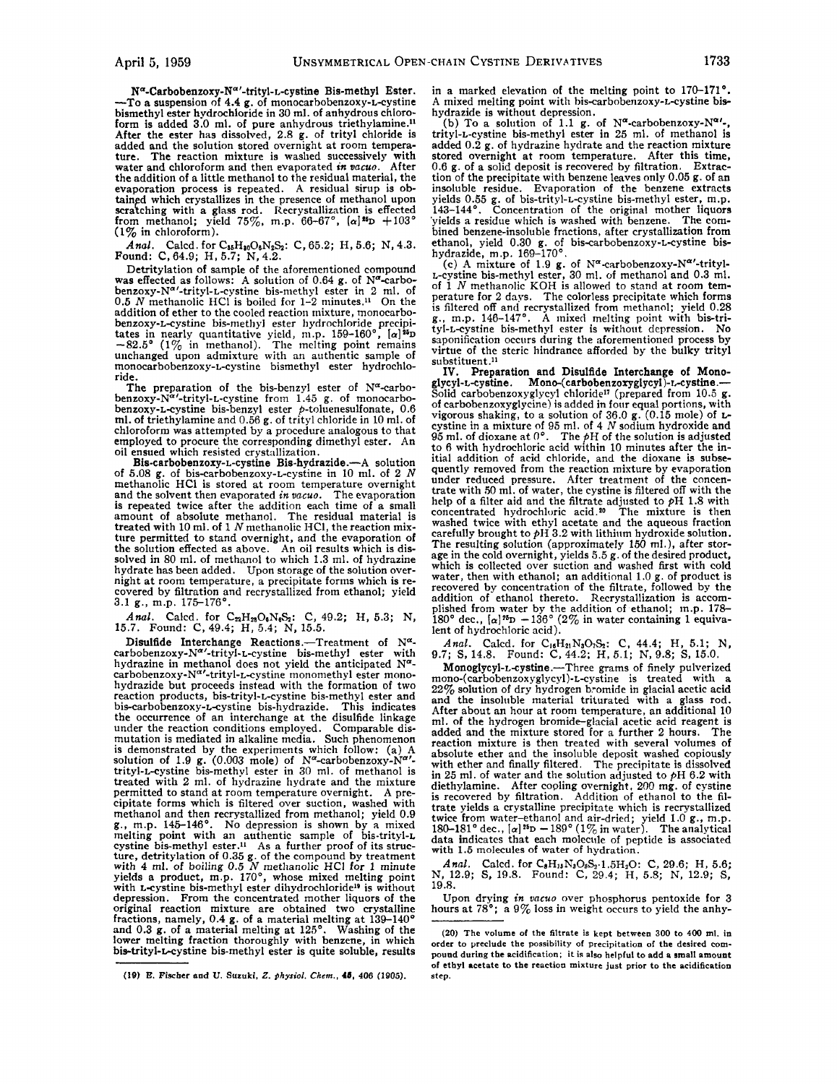**Na-Carbobenzoxy-Naf-trityl-L-cystine** Bis-methyl Ester. -To a suspension of **4.4** g. of monocarbobenzoxy-L-cystine bismethyl ester hydrochloride in **30** ml. of anhydrous chloroform is added 3.0 ml. of pure anhydrous triethylamine.<sup>11</sup> After the ester has dissolved, **2.8** g. of trityl chloride is added and the solution stored overnight at room temperature. The reaction mixture is washed successively with water and chloroform and then evaporated *in vacuo.* After the addition of a little methanol to the residual material, the evaporation process is repeated. A residual sirup is obtained which crystallizes in the presence of methanol upon scratching with a glass rod. Recrystallization is effected from methanol; yield **75%,** m.p. **66-67",** *[a]"D* +103' **(1%** in chloroform).

*Anal.* Calcd. for C<sub>88</sub>H<sub>30</sub>O<sub>6</sub>N<sub>2</sub>S<sub>2</sub>: C, 65.2; H, 5.6; N, 4.3. <br>Found: C, 64.9; H, 5.7; N, 4.2.

Detritylation of sample of the aforementioned compound was effected as follows: A solution of 0.64 g. of N<sup>a</sup>-carbobenzoxy-N<sup>a'</sup>-trityl-L-cystine bis-methyl ester in 2 ml. of 0.5 *N* methanolic HCl is boiled for 1–2 minutes.<sup>11</sup> On the addition of ether to the cooled reaction mixture, monocarbobenzoxy-L-cystine bis-methyl ester hydrochloride precipitates in nearly quantitative yield, m.p.  $159-160^{\circ}$ ,  $[\alpha]^{25}D$ -82.5° (1% in methanol). The melting point remains unchanged upon admixture with an authentic sample of monocarbobenzoxy-L-cystine bismethyl ester hydrochloride.

The preparation of the bis-benzyl ester of  $N^{\alpha}$ -carbo**benzoxy-Naf-trityl-L-cystine** from **1.45** g. of monocarbo-benzoxy-L-cystine bis-benzyl ester p-toluenesulfonate, **0.6**  ml. of triethylamine and **0.56** g. of trityl chloride in 10 ml. of chloroform was attempted by a procedure analogous to that employed to procure the corresponding dimethyl ester. An oil ensued which resisted crystallization.

Bis-carbobenzoxy-L-cystine Bis-hydrazide.-A solution of **5.08** g. of **bis-carbobenzoxy-L-cystine** in 10 ml. of **2** *N*  methanolic HCI is stored at room temperature overnight and the solvent then evaporated *in vacuo.* The evaporation is repeated twice after the addition each time of a small amount of absolute methanol. The residual material is treated with 10 ml. of **1** *N* methanolic HCI, the reaction mixture permitted to stand overnight, and the evaporation of the solution effected as above. An oil results which is dissolved in **80** ml. of methanol to which **1.3** ml. of hydrazine hight at room temperature, a precipitate forms which is recovered by filtration and recrystallized from ethanol; yield **3.1** g., m.p. **175176'.** 

*Anal.* Calcd. for C<sub>2</sub>H<sub>23</sub>O<sub>6</sub>N<sub>6</sub>S<sub>2</sub>: C, 49.2; H, 5.3; N, 15.7. Found: C, 49.4; H, 5.4; N, 15.5.

Disulfide Interchange Reactions.-Treatment of  $N^{\alpha}$ **carbobenzoxy-Na'-trityl-L-cystine** bis-methyl ester with hydrazine in methanol does not yield the anticipated N<sup>a</sup>-<br>carbobenzoxy-N<sup>a'</sup>-trityl-*L*-cystine monomethyl ester monohydrazide but proceeds instead with the formation of two reaction products, bis-trityl-L-cystine bis-methyl ester and bis-carbobenzoxy-L-cystine bis-hydrazide. This indicates the occurrence of an interchange at the disulfide linkage under the reaction conditions employed. Comparable dis-mutation is mediated in alkaline media. Such phenomenon is demonstrated by the experiments which follow: (a) A solution of 1.9 **g**. (0.003 mole) of N<sup>a</sup>-carbobenzoxy-N<sup>a</sup>'-<br>trityl-L-cystine bis-methyl ester in 30 ml. of methanol is treated with **2** ml. of hydrazine hydrate and the mixture permitted to stand at room temperature overnight. A precipitate forms which is filtered over suction, washed with methanol and then recrystallized from methanol; yield 0.9 g., m.p. 145-146°. No depression is shown by a mixed melting point with an authentic sample of bis-trityl-L cystine bis-methyl ester.<sup>11</sup> As a further proof of its depression. From the concentrated mother liquors of the original reaction mixture are obtained two crystalline fractions, namely, **0.4** g. of a material melting at **139-140'**  and 0.3 g. of a material melting at **125'.** Washing of the lower melting fraction thoroughly with benzene, in which bis-trityl-Lcystine bis-methyl ester is quite soluble, results

**(le)** *E.* **Fischer and U. Suruki,** *Z. physiol.* **Chcm., 46, 406 (1905).** 

in a marked elevation of the melting point to 170-171°. **A** mixed melting point with bis-carbobenzoxy-L-cystine bishydrazide is without depression.

(b) To a solution of 1.1 g. of  $N^{\alpha}$ -carbobenzoxy- $N^{\alpha}$ <sup>,</sup> trityl-L-cystine bis-methyl ester in **25** ml. of methanol is added **0.2** g. of hydrazine hydrate and the reaction mixture stored overnight at room temperature. After this time,  $0.6 \times$  of a solid deposit is recovered by filtration. Extrac-0.6 g. of a solid deposit is recovered by filtration. Extraction of the precipitate with benzene leaves only  $0.05$  g. of an tion of the precipitate with benzene leaves only  $0.05$  g. of an insoluble residue. Evaporation of the benzene extracts yields  $0.55$  g. of bis-trityl-L-cystine bis-methyl ester, m.p. 143–144°. Concentration of the origin 'yields a residue which is washed with benzene. The com- bined benzene-insoluble frnctions, after crystallization from ethanol, yield **0.30** g. of **bis-carbobenzoxy-L-cystine** bishydrazide, m.p. **169-170'.** 

(c) A mixture of 1.9 g. of N<sup>a</sup>-carbobenzoxy-N<sup>a</sup>'-trityl-L-cystine bis-methyl ester, **30** ml. of methanol and **0.3** ml. of **1** *N* methanolic KOH is allowed to stand at room temperature for **2** days. The colorless precipitate which forms is filtered off and recrystallized from methanol; yield 0.28 g., m.p. **146-147** . A mixed melting point with bis-trityl-L-cystine bis-methyl ester is without depression. No saponification occurs during the aforementioned process by virtue of the steric hindrance afforded by the bulky trityl substituent.<sup>11</sup>

Preparation and Disulfide Interchange of **Mono-IV.**  glycyl-L-cystine. **Mono-(carbobenzoxyglycyl)+cystine.-**  Solid carbobenzoxyglycyl chloride17 (prepared from **10.5** g. of carbobenzoxyglycine) is added in four equal portions, with vigorous shaking, to a solution **of 36.0** g. **(0.15** mole) of Lcystine in a mixture of **95** ml. of **4** *N* sodium hydroxide and **95** ml. of dioxane at *0".* The PH of the solution is adjusted to **6** with hydrochloric acid within 10 minutes after the initial addition of acid chloride, and the dioxane is subsequently removed from the reaction mixture by evaporation under reduced pressure. After treatment of the concentrate with 50 ml. of water, the cystine is filtered off with the help of a filter aid and the filtrate adjusted to **pH 1.8** with concentrated hydrochloric acid.20 The mixture is then washed twice with ethyl acetate and the aqueous fraction carefully brought to **pH 3.2** with lithiiim hydroxide solution. The resulting solution (approximately **150** ml.), after stor-age in the cold overnight, yields **5.5** g. of the desired product, which is collected over suction and washed first with cold water, then with ethanol; an additional 1.0 g. of product is recovered by concentration of the filtrate, followed by the addition of ethanol thereto. Recrystallization is accomplished from water by the addition of ethanol; m.p. **178-**  180° dec.,  $\alpha$ <sup>25</sup>D -136° (2% in water containing 1 equivalent of hydrochloric acid).

Anal. Calcd. for C<sub>16</sub>H<sub>21</sub>N<sub>3</sub>O<sub>7</sub>S<sub>2</sub>: C, 44.4; H, 5.1; N, **9.7; S, 14.8.**  Found: C, **44.2;** H, **5.1;** N, **9.8;** S, **15.0.** 

**Monoglycyl-L-cystine.-Three** grams of finely pulverized **mono-(carbobenzoxyglycy1)-L-cystine** is treated with a **22%** solution of dry hydrogen bromide in glacial acetic acid and the insoluble material triturated with a glass rod. After about an hour at room temperature, an additional 10 ml. of the hydrogen bromideglacial acetic acid reagent is added and the mixture stored for a further **2** hours. The reaction mixture is then treated with several volumes of absolute ether and the insoluble deposit washed copiously with ether and finally filtered. The precipitate is dissolved in **25** ml. of water and the solution adjusted to PH **6.2** with diethylamine. After cooling overnight, **200** mg. of cystine is recovered by filtration. Addition of ethanol to the filtrate yields a crystalline precipitate which is recrystallized twice from water-ethanol and air-dried; yield **1.0** g., m.p. **180-181"** dec., *[a] 2s~* - **189' (1%** in water). The analytical data indicates that each molecule of peptide is associated with **1.5** molecules of water of hydration.

Anal. Calcd. for  $C_8H_{18}N_3O_6S_2 \cdot 1.5H_2O$ : C, 29.6; H, 5.6; N, 12.9; S, 19.8. Found: C, 29.4; H, 5.8; N, 12.9; S, **19.8.** 

Upon drying *in vacuo* over phosphorus pentoxide for **3**  hours at **78';** a **9% loss** in weight occurs to yield the anhy-

**<sup>(20)</sup> The volume of the filtrate is kept between 300 to 400 ml. in order to preclude the possibility of precipitation of the desired com**pound during the acidification; it is also helpful to add a small amount **of ethyl acetate to the reaction mixture just prior to the acidification step.**